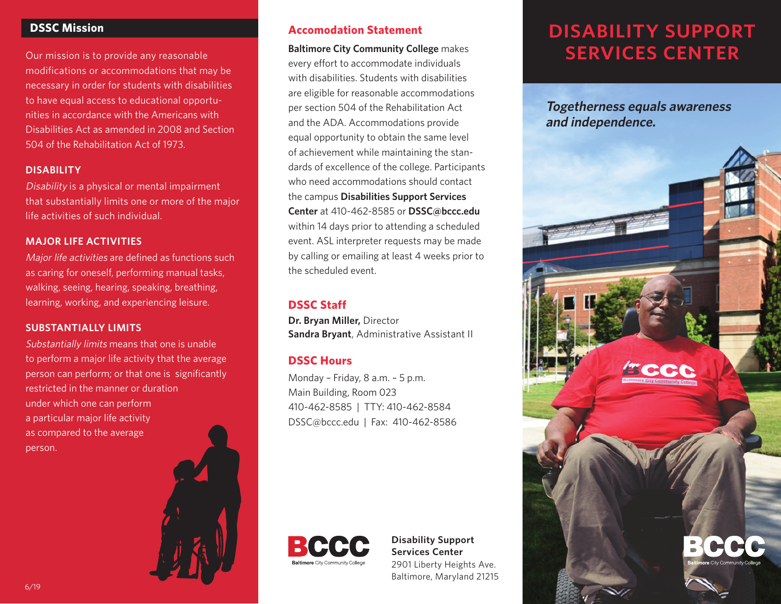## **DSSC Mission**

Our mission is to provide any reasonable modifications or accommodations that may be necessary in order for students with disabilities to have equal access to educational opportunities in accordance with the Americans with Disabilities Act as amended in 2008 and Section 504 of the Rehabilitation Act of 1973.

### **DISABILITY**

Disability is a physical or mental impairment that substantially limits one or more of the major life activities of such individual.

### **MAJOR LIFE ACTIVITIES**

Major life activities are defined as functions such as caring for oneself, performing manual tasks, walking, seeing, hearing, speaking, breathing, learning, working, and experiencing leisure.

#### **SUBSTANTIALLY LIMITS**

Substantially limits means that one is unable to perform a major life activity that the average person can perform; or that one is significantly restricted in the manner or duration under which one can perform a particular major life activity as compared to the average person.



**Baltimore City Community College** makes every effort to accommodate individuals with disabilities. Students with disabilities are eligible for reasonable accommodations per section 504 of the Rehabilitation Act and the ADA. Accommodations provide equal opportunity to obtain the same level of achievement while maintaining the standards of excellence of the college. Participants who need accommodations should contact the campus **Disabilities Support Services Center** at 410-462-8585 or **DSSC@bccc.edu** within 14 days prior to attending a scheduled event. ASL interpreter requests may be made by calling or emailing at least 4 weeks prior to the scheduled event.

### **DSSC Staff**

**Dr. Bryan Miller,** Director **Sandra Bryant**, Administrative Assistant II

## **DSSC Hours**

Monday – Friday, 8 a.m. – 5 p.m. Main Building, Room 023 410-462-8585 | TTY: 410-462-8584 DSSC@bccc.edu | Fax: 410-462-8586



### **Disability Support Services Center** 2901 Liberty Heights Ave. Baltimore, Maryland 21215

# **DISABILITY SUPPORT SERVICES CENTER**

**Togetherness equals awareness and independence.**